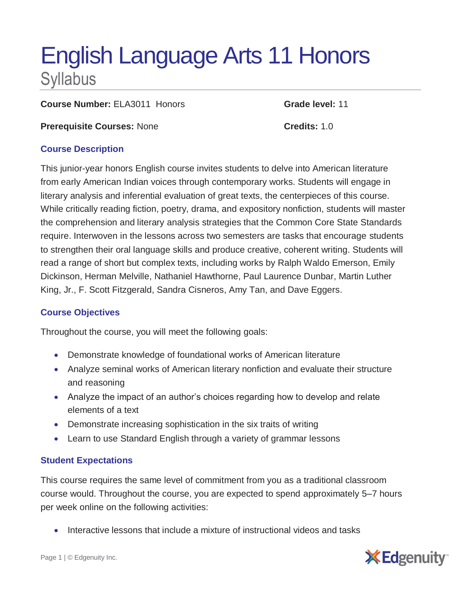# English Language Arts 11 Honors **Syllabus**

**Course Number:** ELA3011 Honors **Grade level:** 11

**Prerequisite Courses:** None **Credits:** 1.0

### **Course Description**

This junior-year honors English course invites students to delve into American literature from early American Indian voices through contemporary works. Students will engage in literary analysis and inferential evaluation of great texts, the centerpieces of this course. While critically reading fiction, poetry, drama, and expository nonfiction, students will master the comprehension and literary analysis strategies that the Common Core State Standards require. Interwoven in the lessons across two semesters are tasks that encourage students to strengthen their oral language skills and produce creative, coherent writing. Students will read a range of short but complex texts, including works by Ralph Waldo Emerson, Emily Dickinson, Herman Melville, Nathaniel Hawthorne, Paul Laurence Dunbar, Martin Luther King, Jr., F. Scott Fitzgerald, Sandra Cisneros, Amy Tan, and Dave Eggers.

# **Course Objectives**

Throughout the course, you will meet the following goals:

- Demonstrate knowledge of foundational works of American literature
- Analyze seminal works of American literary nonfiction and evaluate their structure and reasoning
- Analyze the impact of an author's choices regarding how to develop and relate elements of a text
- Demonstrate increasing sophistication in the six traits of writing
- Learn to use Standard English through a variety of grammar lessons

# **Student Expectations**

This course requires the same level of commitment from you as a traditional classroom course would. Throughout the course, you are expected to spend approximately 5–7 hours per week online on the following activities:

Interactive lessons that include a mixture of instructional videos and tasks

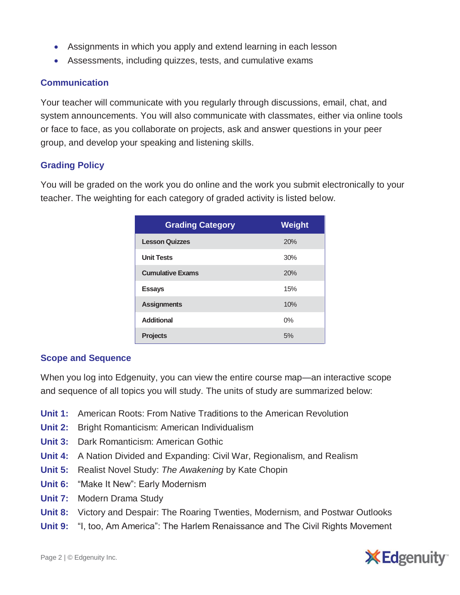- Assignments in which you apply and extend learning in each lesson
- Assessments, including quizzes, tests, and cumulative exams

#### **Communication**

Your teacher will communicate with you regularly through discussions, email, chat, and system announcements. You will also communicate with classmates, either via online tools or face to face, as you collaborate on projects, ask and answer questions in your peer group, and develop your speaking and listening skills.

#### **Grading Policy**

You will be graded on the work you do online and the work you submit electronically to your teacher. The weighting for each category of graded activity is listed below.

| <b>Grading Category</b> | <b>Weight</b> |
|-------------------------|---------------|
| <b>Lesson Quizzes</b>   | 20%           |
| <b>Unit Tests</b>       | 30%           |
| <b>Cumulative Exams</b> | 20%           |
| <b>Essays</b>           | 15%           |
| <b>Assignments</b>      | 10%           |
| <b>Additional</b>       | 0%            |
| <b>Projects</b>         | 5%            |

#### **Scope and Sequence**

When you log into Edgenuity, you can view the entire course map—an interactive scope and sequence of all topics you will study. The units of study are summarized below:

- **Unit 1:** American Roots: From Native Traditions to the American Revolution
- **Unit 2:** Bright Romanticism: American Individualism
- **Unit 3:** Dark Romanticism: American Gothic
- **Unit 4:** A Nation Divided and Expanding: Civil War, Regionalism, and Realism
- **Unit 5:** Realist Novel Study: *The Awakening* by Kate Chopin
- **Unit 6:** "Make It New": Early Modernism
- **Unit 7:** Modern Drama Study
- **Unit 8:** Victory and Despair: The Roaring Twenties, Modernism, and Postwar Outlooks
- **Unit 9:** "I, too, Am America": The Harlem Renaissance and The Civil Rights Movement